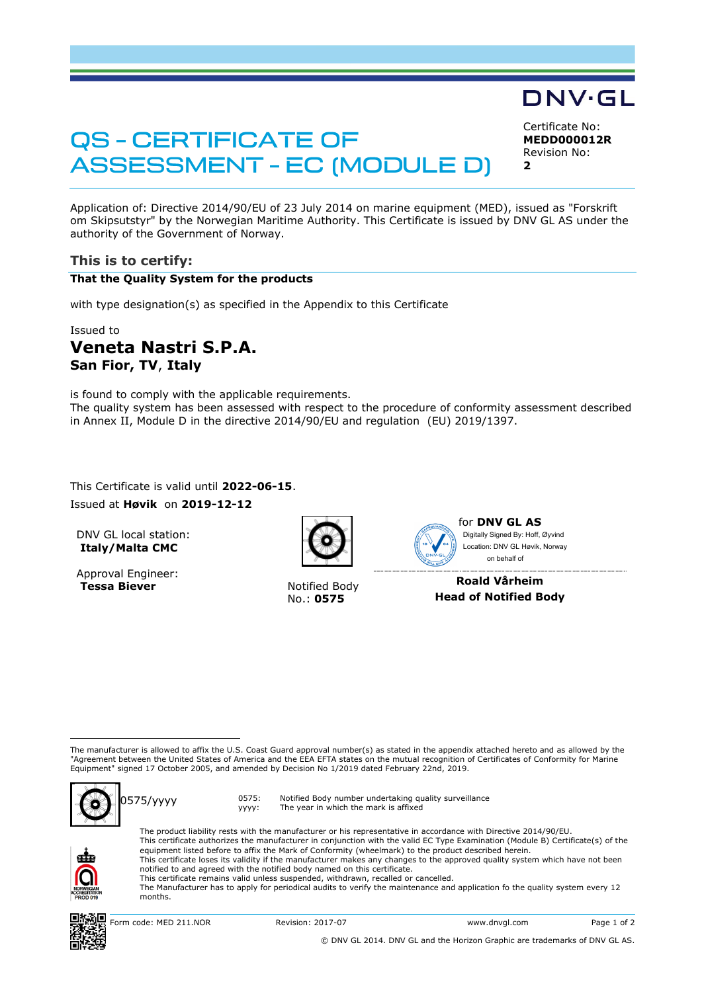# **QS - CERTIFICATE OF ASSESSMENT - EC (MODULE D)**

Certificate No: **MEDD000012R** Revision No: **2**

DNV·GL

Application of: Directive 2014/90/EU of 23 July 2014 on marine equipment (MED), issued as "Forskrift om Skipsutstyr" by the Norwegian Maritime Authority. This Certificate is issued by DNV GL AS under the authority of the Government of Norway.

## **This is to certify:**

### **That the Quality System for the products**

with type designation(s) as specified in the Appendix to this Certificate

#### Issued to

# **Veneta Nastri S.P.A. San Fior, TV**, **Italy**

is found to comply with the applicable requirements. The quality system has been assessed with respect to the procedure of conformity assessment described in Annex II, Module D in the directive 2014/90/EU and regulation (EU) 2019/1397.

This Certificate is valid until 2022-06-15. Issued at **Høvik** on **2019-12-12**

DNV GL local station: **Italy/Malta CMC**

Approval Engineer: **Tessa Biever** Notified Body



No.: **0575**



**Roald Vårheim Head of Notified Body**

The manufacturer is allowed to affix the U.S. Coast Guard approval number(s) as stated in the appendix attached hereto and as allowed by the "Agreement between the United States of America and the EEA EFTA states on the mutual recognition of Certificates of Conformity for Marine Equipment" signed 17 October 2005, and amended by Decision No 1/2019 dated February 22nd, 2019.



0575/yyyy 0575: yyyy: Notified Body number undertaking quality surveillance The year in which the mark is affixed



ı

The product liability rests with the manufacturer or his representative in accordance with Directive 2014/90/EU. This certificate authorizes the manufacturer in conjunction with the valid EC Type Examination (Module B) Certificate(s) of the equipment listed before to affix the Mark of Conformity (wheelmark) to the product described herein. This certificate loses its validity if the manufacturer makes any changes to the approved quality system which have not been notified to and agreed with the notified body named on this certificate. This certificate remains valid unless suspended, withdrawn, recalled or cancelled. The Manufacturer has to apply for periodical audits to verify the maintenance and application fo the quality system every 12 months.



© DNV GL 2014. DNV GL and the Horizon Graphic are trademarks of DNV GL AS.